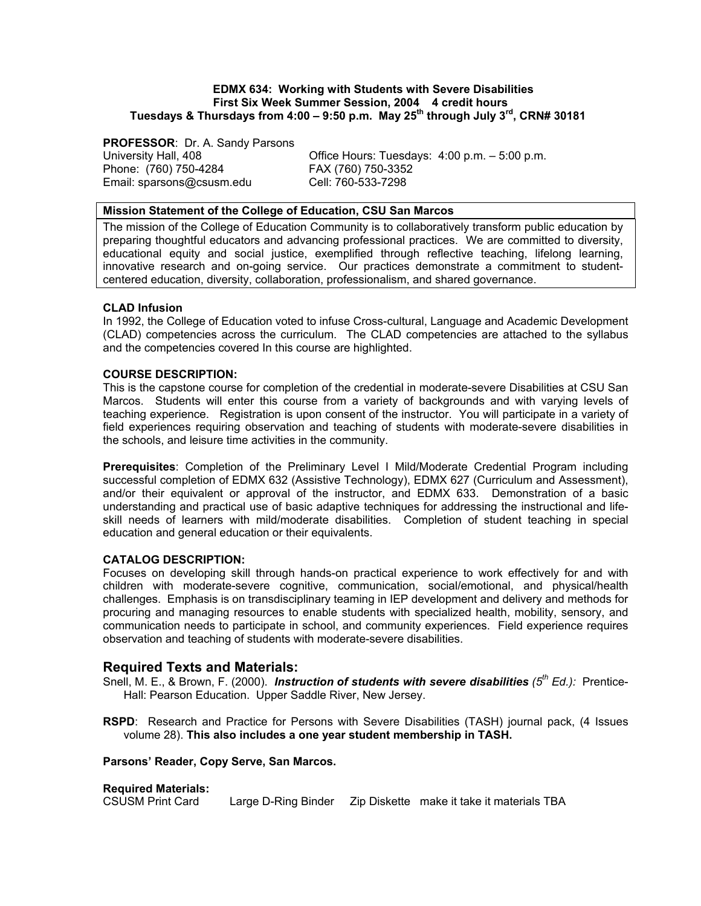### **EDMX 634: Working with Students with Severe Disabilities First Six Week Summer Session, 2004 4 credit hours Tuesdays & Thursdays from 4:00 – 9:50 p.m. May 25th through July 3rd, CRN# 30181**

**PROFESSOR**: Dr. A. Sandy Parsons Phone: (760) 750-4284 FAX (760) 750-3352 Email: sparsons@csusm.edu

University Hall, 408 Office Hours: Tuesdays: 4:00 p.m. – 5:00 p.m.

## **Mission Statement of the College of Education, CSU San Marcos**

The mission of the College of Education Community is to collaboratively transform public education by preparing thoughtful educators and advancing professional practices. We are committed to diversity, educational equity and social justice, exemplified through reflective teaching, lifelong learning, innovative research and on-going service. Our practices demonstrate a commitment to studentcentered education, diversity, collaboration, professionalism, and shared governance.

## **CLAD Infusion**

In 1992, the College of Education voted to infuse Cross-cultural, Language and Academic Development (CLAD) competencies across the curriculum. The CLAD competencies are attached to the syllabus and the competencies covered In this course are highlighted.

## **COURSE DESCRIPTION:**

This is the capstone course for completion of the credential in moderate-severe Disabilities at CSU San Marcos. Students will enter this course from a variety of backgrounds and with varying levels of teaching experience. Registration is upon consent of the instructor. You will participate in a variety of field experiences requiring observation and teaching of students with moderate-severe disabilities in the schools, and leisure time activities in the community.

**Prerequisites**: Completion of the Preliminary Level I Mild/Moderate Credential Program including successful completion of EDMX 632 (Assistive Technology), EDMX 627 (Curriculum and Assessment), and/or their equivalent or approval of the instructor, and EDMX 633. Demonstration of a basic understanding and practical use of basic adaptive techniques for addressing the instructional and lifeskill needs of learners with mild/moderate disabilities. Completion of student teaching in special education and general education or their equivalents.

## **CATALOG DESCRIPTION:**

Focuses on developing skill through hands-on practical experience to work effectively for and with children with moderate-severe cognitive, communication, social/emotional, and physical/health challenges. Emphasis is on transdisciplinary teaming in IEP development and delivery and methods for procuring and managing resources to enable students with specialized health, mobility, sensory, and communication needs to participate in school, and community experiences. Field experience requires observation and teaching of students with moderate-severe disabilities.

## **Required Texts and Materials:**

Snell, M. E., & Brown, F. (2000). *Instruction of students with severe disabilities (5th Ed.):* Prentice-Hall: Pearson Education. Upper Saddle River, New Jersey.

**RSPD**: Research and Practice for Persons with Severe Disabilities (TASH) journal pack, (4 Issues volume 28). **This also includes a one year student membership in TASH.** 

## **Parsons' Reader, Copy Serve, San Marcos.**

## **Required Materials:**

CSUSM Print Card Large D-Ring Binder Zip Diskette make it take it materials TBA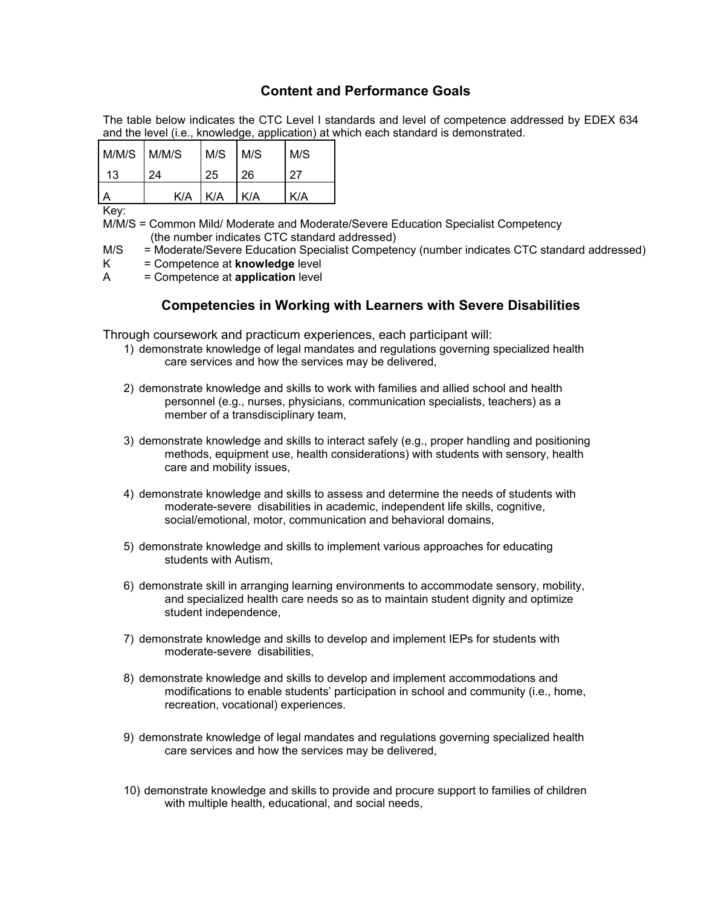# **Content and Performance Goals**

The table below indicates the CTC Level I standards and level of competence addressed by EDEX 634 and the level (i.e., knowledge, application) at which each standard is demonstrated.

| M/M/S M/M/S |    | $M/S$ $M/S$       |    | M/S |
|-------------|----|-------------------|----|-----|
| 13          | 24 | 25                | 26 | 27  |
|             |    | $K/A$ $K/A$ $K/A$ |    | K/A |

Key:

M/M/S = Common Mild/ Moderate and Moderate/Severe Education Specialist Competency (the number indicates CTC standard addressed)

M/S = Moderate/Severe Education Specialist Competency (number indicates CTC standard addressed)

- K = Competence at **knowledge** level
- A = Competence at **application** level

# **Competencies in Working with Learners with Severe Disabilities**

Through coursework and practicum experiences, each participant will:

- 1) demonstrate knowledge of legal mandates and regulations governing specialized health care services and how the services may be delivered,
- 2) demonstrate knowledge and skills to work with families and allied school and health personnel (e.g., nurses, physicians, communication specialists, teachers) as a member of a transdisciplinary team,
- 3) demonstrate knowledge and skills to interact safely (e.g., proper handling and positioning methods, equipment use, health considerations) with students with sensory, health care and mobility issues,
- 4) demonstrate knowledge and skills to assess and determine the needs of students with moderate-severe disabilities in academic, independent life skills, cognitive, social/emotional, motor, communication and behavioral domains,
- 5) demonstrate knowledge and skills to implement various approaches for educating students with Autism,
- 6) demonstrate skill in arranging learning environments to accommodate sensory, mobility, and specialized health care needs so as to maintain student dignity and optimize student independence,
- 7) demonstrate knowledge and skills to develop and implement IEPs for students with moderate-severe disabilities,
- 8) demonstrate knowledge and skills to develop and implement accommodations and modifications to enable students' participation in school and community (i.e., home, recreation, vocational) experiences.
- 9) demonstrate knowledge of legal mandates and regulations governing specialized health care services and how the services may be delivered,
- 10) demonstrate knowledge and skills to provide and procure support to families of children with multiple health, educational, and social needs,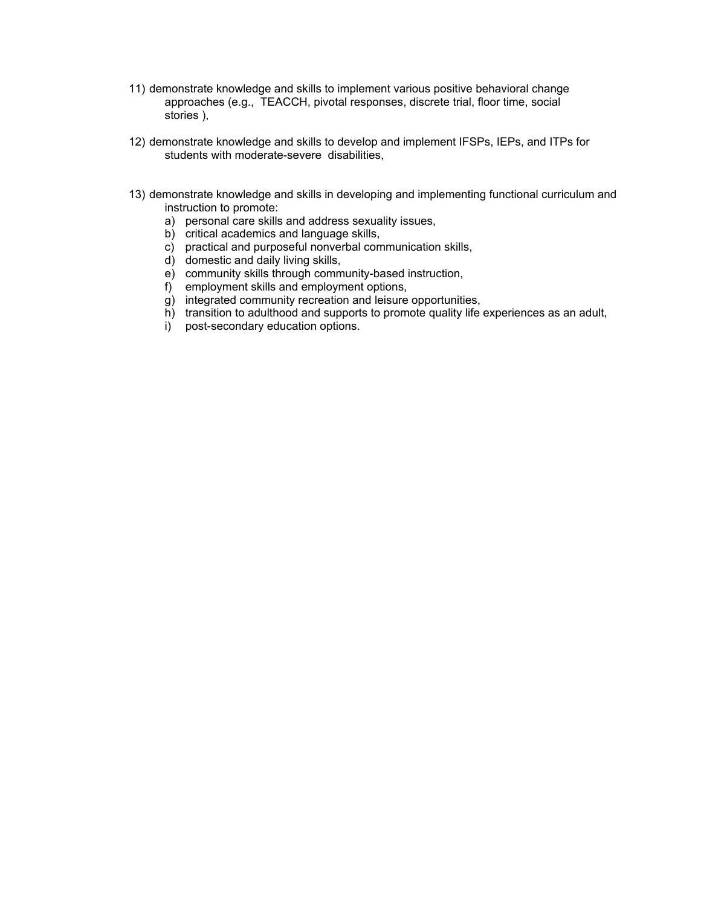- 11) demonstrate knowledge and skills to implement various positive behavioral change approaches (e.g., TEACCH, pivotal responses, discrete trial, floor time, social stories ),
- 12) demonstrate knowledge and skills to develop and implement IFSPs, IEPs, and ITPs for students with moderate-severe disabilities,
- 13) demonstrate knowledge and skills in developing and implementing functional curriculum and instruction to promote:
	- a) personal care skills and address sexuality issues,
	- b) critical academics and language skills,
	- c) practical and purposeful nonverbal communication skills,
	- d) domestic and daily living skills,
	- e) community skills through community-based instruction,
	- f) employment skills and employment options,
	- g) integrated community recreation and leisure opportunities,
	- h) transition to adulthood and supports to promote quality life experiences as an adult,
	- i) post-secondary education options.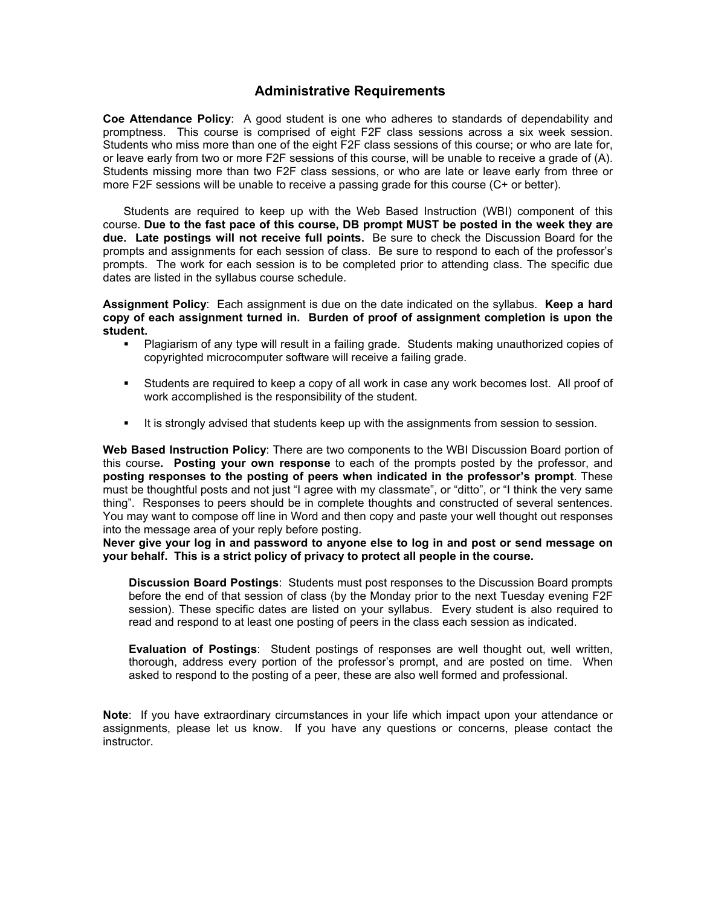# **Administrative Requirements**

**Coe Attendance Policy**: A good student is one who adheres to standards of dependability and promptness. This course is comprised of eight F2F class sessions across a six week session. Students who miss more than one of the eight F2F class sessions of this course; or who are late for, or leave early from two or more F2F sessions of this course, will be unable to receive a grade of (A). Students missing more than two F2F class sessions, or who are late or leave early from three or more F2F sessions will be unable to receive a passing grade for this course (C+ or better).

 Students are required to keep up with the Web Based Instruction (WBI) component of this course. **Due to the fast pace of this course, DB prompt MUST be posted in the week they are due. Late postings will not receive full points.** Be sure to check the Discussion Board for the prompts and assignments for each session of class. Be sure to respond to each of the professor's prompts. The work for each session is to be completed prior to attending class. The specific due dates are listed in the syllabus course schedule.

**Assignment Policy**: Each assignment is due on the date indicated on the syllabus. **Keep a hard copy of each assignment turned in. Burden of proof of assignment completion is upon the student.**

- Plagiarism of any type will result in a failing grade. Students making unauthorized copies of copyrighted microcomputer software will receive a failing grade.
- Students are required to keep a copy of all work in case any work becomes lost. All proof of work accomplished is the responsibility of the student.
- It is strongly advised that students keep up with the assignments from session to session.

**Web Based Instruction Policy**: There are two components to the WBI Discussion Board portion of this course**. Posting your own response** to each of the prompts posted by the professor, and **posting responses to the posting of peers when indicated in the professor's prompt**. These must be thoughtful posts and not just "I agree with my classmate", or "ditto", or "I think the very same thing". Responses to peers should be in complete thoughts and constructed of several sentences. You may want to compose off line in Word and then copy and paste your well thought out responses into the message area of your reply before posting.

**Never give your log in and password to anyone else to log in and post or send message on your behalf. This is a strict policy of privacy to protect all people in the course.** 

**Discussion Board Postings**: Students must post responses to the Discussion Board prompts before the end of that session of class (by the Monday prior to the next Tuesday evening F2F session). These specific dates are listed on your syllabus. Every student is also required to read and respond to at least one posting of peers in the class each session as indicated.

**Evaluation of Postings**: Student postings of responses are well thought out, well written, thorough, address every portion of the professor's prompt, and are posted on time. When asked to respond to the posting of a peer, these are also well formed and professional.

**Note**: If you have extraordinary circumstances in your life which impact upon your attendance or assignments, please let us know. If you have any questions or concerns, please contact the instructor.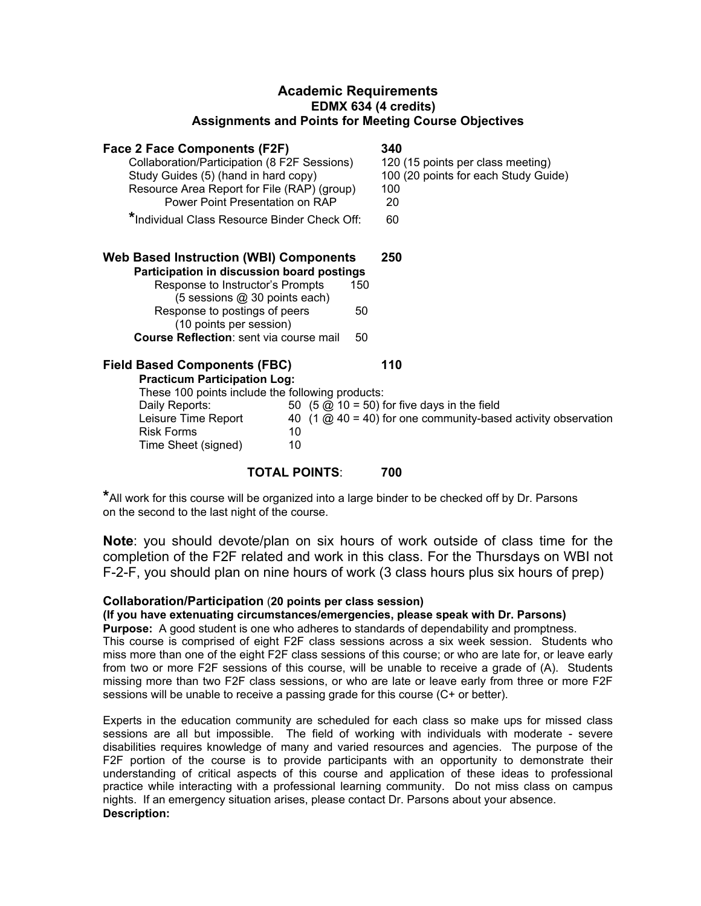# **Academic Requirements EDMX 634 (4 credits) Assignments and Points for Meeting Course Objectives**

| Face 2 Face Components (F2F)                                                                                                                      | 340                                                                                                                                               |
|---------------------------------------------------------------------------------------------------------------------------------------------------|---------------------------------------------------------------------------------------------------------------------------------------------------|
| Collaboration/Participation (8 F2F Sessions)<br>Study Guides (5) (hand in hard copy)                                                              | 120 (15 points per class meeting)<br>100 (20 points for each Study Guide)                                                                         |
| Resource Area Report for File (RAP) (group)<br>Power Point Presentation on RAP                                                                    | 100<br>20                                                                                                                                         |
| *Individual Class Resource Binder Check Off:                                                                                                      | 60                                                                                                                                                |
| <b>Web Based Instruction (WBI) Components</b>                                                                                                     | 250                                                                                                                                               |
| Participation in discussion board postings<br>Response to Instructor's Prompts<br>150<br>(5 sessions @ 30 points each)                            |                                                                                                                                                   |
| Response to postings of peers<br>50<br>(10 points per session)                                                                                    |                                                                                                                                                   |
| <b>Course Reflection:</b> sent via course mail<br>50                                                                                              |                                                                                                                                                   |
| <b>Field Based Components (FBC)</b><br><b>Practicum Participation Log:</b>                                                                        | 110                                                                                                                                               |
| These 100 points include the following products:<br>Daily Reports:<br>Leisure Time Report<br><b>Risk Forms</b><br>10<br>10<br>Time Sheet (signed) | 50 $(5 \text{ } \textcircled{2})$ 10 = 50) for five days in the field<br>40 $(1 \text{ @ } 40 = 40)$ for one community-based activity observation |

## **TOTAL POINTS**: **700**

**\***All work for this course will be organized into a large binder to be checked off by Dr. Parsons on the second to the last night of the course.

**Note**: you should devote/plan on six hours of work outside of class time for the completion of the F2F related and work in this class. For the Thursdays on WBI not F-2-F, you should plan on nine hours of work (3 class hours plus six hours of prep)

## **Collaboration/Participation** (**20 points per class session)**

## **(If you have extenuating circumstances/emergencies, please speak with Dr. Parsons)**

**Purpose:** A good student is one who adheres to standards of dependability and promptness.

This course is comprised of eight F2F class sessions across a six week session. Students who miss more than one of the eight F2F class sessions of this course; or who are late for, or leave early from two or more F2F sessions of this course, will be unable to receive a grade of (A). Students missing more than two F2F class sessions, or who are late or leave early from three or more F2F sessions will be unable to receive a passing grade for this course (C+ or better).

Experts in the education community are scheduled for each class so make ups for missed class sessions are all but impossible. The field of working with individuals with moderate - severe disabilities requires knowledge of many and varied resources and agencies. The purpose of the F2F portion of the course is to provide participants with an opportunity to demonstrate their understanding of critical aspects of this course and application of these ideas to professional practice while interacting with a professional learning community. Do not miss class on campus nights. If an emergency situation arises, please contact Dr. Parsons about your absence. **Description:**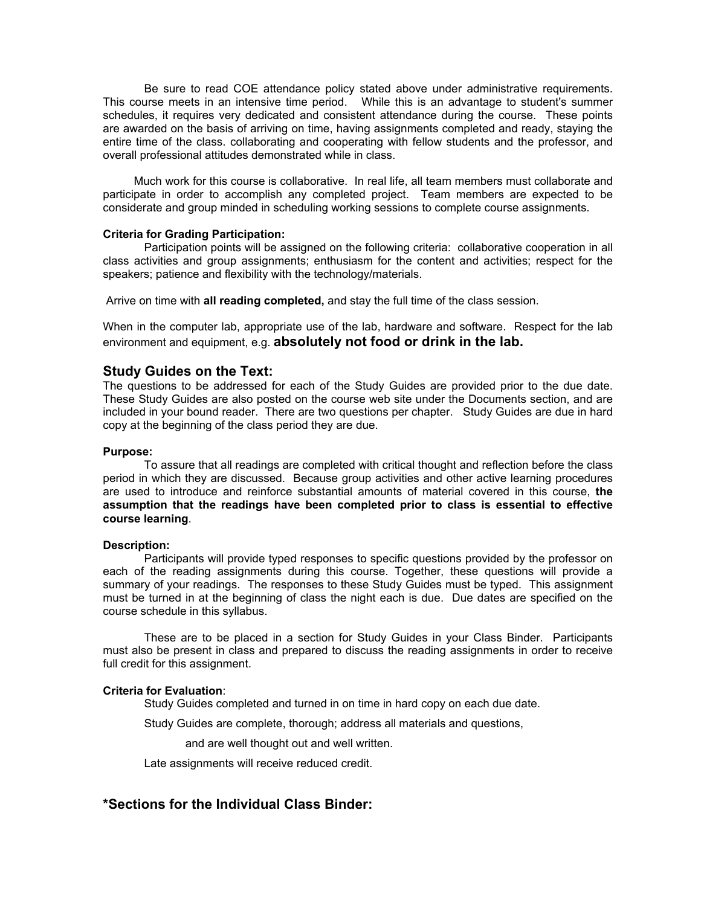Be sure to read COE attendance policy stated above under administrative requirements. This course meets in an intensive time period. While this is an advantage to student's summer schedules, it requires very dedicated and consistent attendance during the course. These points are awarded on the basis of arriving on time, having assignments completed and ready, staying the entire time of the class. collaborating and cooperating with fellow students and the professor, and overall professional attitudes demonstrated while in class.

 Much work for this course is collaborative. In real life, all team members must collaborate and participate in order to accomplish any completed project. Team members are expected to be considerate and group minded in scheduling working sessions to complete course assignments.

#### **Criteria for Grading Participation:**

 Participation points will be assigned on the following criteria: collaborative cooperation in all class activities and group assignments; enthusiasm for the content and activities; respect for the speakers; patience and flexibility with the technology/materials.

Arrive on time with **all reading completed,** and stay the full time of the class session.

When in the computer lab, appropriate use of the lab, hardware and software. Respect for the lab environment and equipment, e.g. **absolutely not food or drink in the lab.**

## **Study Guides on the Text:**

The questions to be addressed for each of the Study Guides are provided prior to the due date. These Study Guides are also posted on the course web site under the Documents section, and are included in your bound reader. There are two questions per chapter. Study Guides are due in hard copy at the beginning of the class period they are due.

#### **Purpose:**

 To assure that all readings are completed with critical thought and reflection before the class period in which they are discussed. Because group activities and other active learning procedures are used to introduce and reinforce substantial amounts of material covered in this course, **the assumption that the readings have been completed prior to class is essential to effective course learning**.

#### **Description:**

Participants will provide typed responses to specific questions provided by the professor on each of the reading assignments during this course. Together, these questions will provide a summary of your readings. The responses to these Study Guides must be typed. This assignment must be turned in at the beginning of class the night each is due. Due dates are specified on the course schedule in this syllabus.

These are to be placed in a section for Study Guides in your Class Binder. Participants must also be present in class and prepared to discuss the reading assignments in order to receive full credit for this assignment.

#### **Criteria for Evaluation**:

Study Guides completed and turned in on time in hard copy on each due date.

Study Guides are complete, thorough; address all materials and questions,

and are well thought out and well written.

Late assignments will receive reduced credit.

## **\*Sections for the Individual Class Binder:**